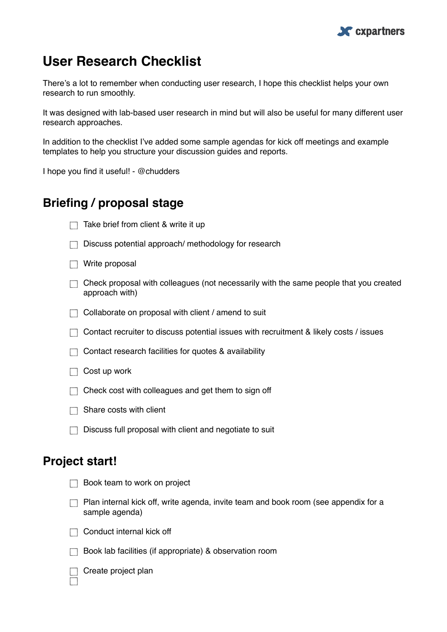

# **User Research Checklist**

There's a lot to remember when conducting user research, I hope this checklist helps your own research to run smoothly.

It was designed with lab-based user research in mind but will also be useful for many different user research approaches.

In addition to the checklist I've added some sample agendas for kick off meetings and example templates to help you structure your discussion guides and reports.

I hope you find it useful! - @chudders

## **Briefing / proposal stage**

- $\Box$  Take brief from client & write it up
- $\Box$  Discuss potential approach/ methodology for research
- $\Box$  Write proposal
- $\Box$  Check proposal with colleagues (not necessarily with the same people that you created approach with)
- $\Box$  Collaborate on proposal with client / amend to suit
- $\Box$  Contact recruiter to discuss potential issues with recruitment & likely costs / issues
- $\Box$  Contact research facilities for quotes & availability
- $\Box$  Cost up work
- $\Box$  Check cost with colleagues and get them to sign off
- $\Box$  Share costs with client
- $\Box$  Discuss full proposal with client and negotiate to suit

on project

### **Project start!**

| <b>Book team to work</b> |  |  |
|--------------------------|--|--|
|                          |  |  |

- **Plan internal kick off, write agenda, invite team and book room (see appendix for a** sample agenda)
- $\Box$  Conduct internal kick off
- $\Box$  Book lab facilities (if appropriate) & observation room



 $\Box$  Create project plan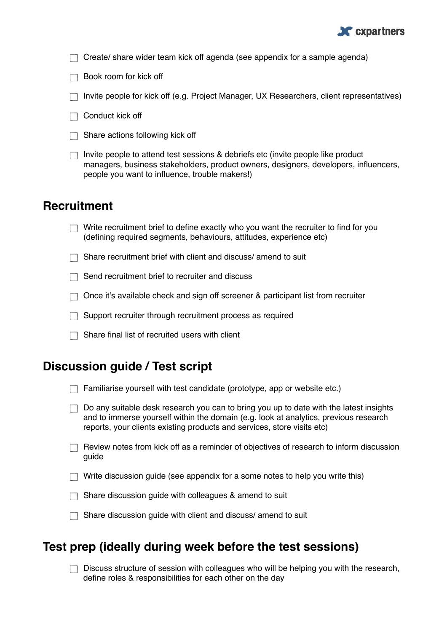

 $\Box$  Create/ share wider team kick off agenda (see appendix for a sample agenda)

 $\Box$  Book room for kick off

- Invite people for kick off (e.g. Project Manager, UX Researchers, client representatives)
- $\Box$  Conduct kick off
- $\Box$  Share actions following kick off
- Invite people to attend test sessions  $\&$  debriefs etc (invite people like product managers, business stakeholders, product owners, designers, developers, influencers, people you want to influence, trouble makers!)

#### **Recruitment**

- $\Box$  Write recruitment brief to define exactly who you want the recruiter to find for you (defining required segments, behaviours, attitudes, experience etc)
- $\Box$  Share recruitment brief with client and discuss/ amend to suit

 $\Box$  Send recruitment brief to recruiter and discuss

- $\Box$  Once it's available check and sign off screener & participant list from recruiter
- $\Box$  Support recruiter through recruitment process as required
- $\Box$  Share final list of recruited users with client

### **Discussion guide / Test script**

|  |  | $\Box$ Familiarise yourself with test candidate (prototype, app or website etc.) |  |
|--|--|----------------------------------------------------------------------------------|--|
|  |  |                                                                                  |  |

- $\Box$  Do any suitable desk research you can to bring you up to date with the latest insights and to immerse yourself within the domain (e.g. look at analytics, previous research reports, your clients existing products and services, store visits etc)
- $\Box$  Review notes from kick off as a reminder of objectives of research to inform discussion guide
- $\Box$  Write discussion quide (see appendix for a some notes to help you write this)
- $\Box$  Share discussion guide with colleagues & amend to suit
- $\Box$  Share discussion quide with client and discuss/ amend to suit

### **Test prep (ideally during week before the test sessions)**

 $\Box$  Discuss structure of session with colleagues who will be helping you with the research, define roles & responsibilities for each other on the day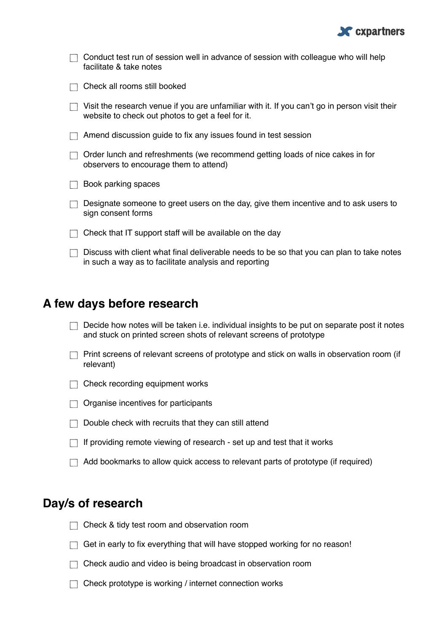

| Conduct test run of session well in advance of session with colleague who will help<br>facilitate & take notes                                     |
|----------------------------------------------------------------------------------------------------------------------------------------------------|
| Check all rooms still booked                                                                                                                       |
| Visit the research venue if you are unfamiliar with it. If you can't go in person visit their<br>website to check out photos to get a feel for it. |
| Amend discussion guide to fix any issues found in test session                                                                                     |
| Order lunch and refreshments (we recommend getting loads of nice cakes in for<br>observers to encourage them to attend)                            |
| Book parking spaces                                                                                                                                |
| Designate someone to greet users on the day, give them incentive and to ask users to<br>sign consent forms                                         |
| Check that IT support staff will be available on the day                                                                                           |
| Discuss with client what final deliverable needs to be so that you can plan to take notes<br>in such a way as to facilitate analysis and reporting |

## **A few days before research**

- $\Box$  Decide how notes will be taken i.e. individual insights to be put on separate post it notes and stuck on printed screen shots of relevant screens of prototype
- $\Box$  Print screens of relevant screens of prototype and stick on walls in observation room (if relevant)

 $\Box$  Check recording equipment works

- $\Box$  Organise incentives for participants
- $\Box$  Double check with recruits that they can still attend
- $\Box$  If providing remote viewing of research set up and test that it works
- Add bookmarks to allow quick access to relevant parts of prototype (if required)

### **Day/s of research**

- T Check & tidy test room and observation room
- $\Box$  Get in early to fix everything that will have stopped working for no reason!
- $\Box$  Check audio and video is being broadcast in observation room
- □ Check prototype is working / internet connection works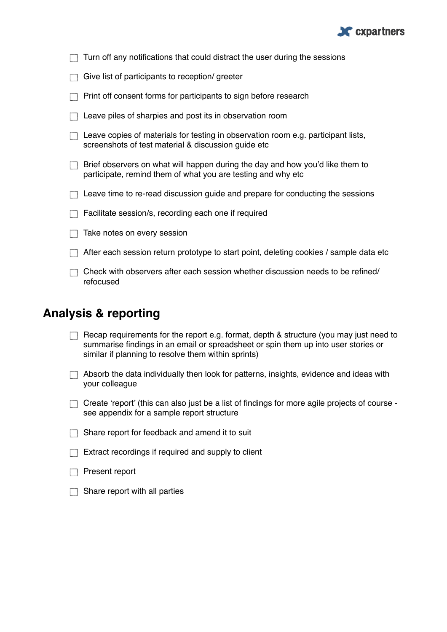

| Turn off any notifications that could distract the user during the sessions                                                                   |
|-----------------------------------------------------------------------------------------------------------------------------------------------|
| Give list of participants to reception/greeter                                                                                                |
| Print off consent forms for participants to sign before research                                                                              |
| Leave piles of sharpies and post its in observation room                                                                                      |
| Leave copies of materials for testing in observation room e.g. participant lists,<br>screenshots of test material & discussion guide etc      |
| Brief observers on what will happen during the day and how you'd like them to<br>participate, remind them of what you are testing and why etc |
| Leave time to re-read discussion guide and prepare for conducting the sessions                                                                |
| Facilitate session/s, recording each one if required                                                                                          |
| Take notes on every session                                                                                                                   |
| After each session return prototype to start point, deleting cookies / sample data etc                                                        |
| Check with observers after each session whether discussion needs to be refined/<br>refocused                                                  |
|                                                                                                                                               |

## **Analysis & reporting**

| $\Box$ Recap requirements for the report e.g. format, depth & structure (you may just need to |
|-----------------------------------------------------------------------------------------------|
| summarise findings in an email or spreadsheet or spin them up into user stories or            |
| similar if planning to resolve them within sprints)                                           |

| $\Box$ Absorb the data individually then look for patterns, insights, evidence and ideas with |
|-----------------------------------------------------------------------------------------------|
| your colleague                                                                                |

- Create 'report' (this can also just be a list of findings for more agile projects of course see appendix for a sample report structure
- Share report for feedback and amend it to suit

| $\Box$ Extract recordings if required and supply to client |  |
|------------------------------------------------------------|--|
|                                                            |  |

- Present report
- $\Box$  Share report with all parties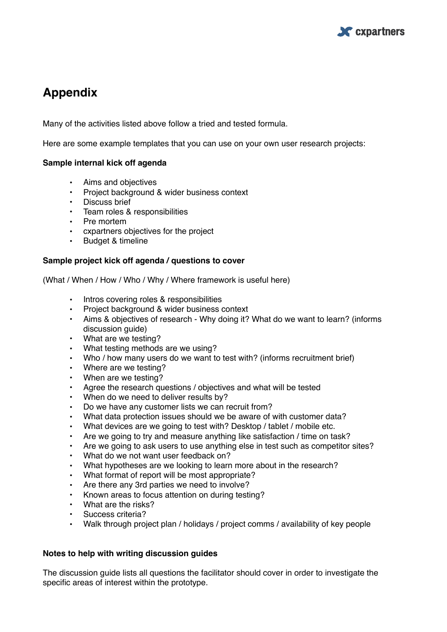

## **Appendix**

Many of the activities listed above follow a tried and tested formula.

Here are some example templates that you can use on your own user research projects:

#### **Sample internal kick off agenda**

- Aims and objectives
- Project background & wider business context
- Discuss brief
- Team roles & responsibilities
- Pre mortem
- cxpartners objectives for the project
- Budget & timeline

#### **Sample project kick off agenda / questions to cover**

(What / When / How / Who / Why / Where framework is useful here)

- Intros covering roles & responsibilities
- Project background & wider business context
- Aims & objectives of research Why doing it? What do we want to learn? (informs discussion quide)
- What are we testing?
- What testing methods are we using?
- Who / how many users do we want to test with? (informs recruitment brief)
- Where are we testing?
- When are we testing?
- Agree the research questions / objectives and what will be tested
- When do we need to deliver results by?
- Do we have any customer lists we can recruit from?
- What data protection issues should we be aware of with customer data?
- What devices are we going to test with? Desktop / tablet / mobile etc.
- Are we going to try and measure anything like satisfaction / time on task?
- Are we going to ask users to use anything else in test such as competitor sites?
- What do we not want user feedback on?
- What hypotheses are we looking to learn more about in the research?
- What format of report will be most appropriate?
- Are there any 3rd parties we need to involve?
- Known areas to focus attention on during testing?
- What are the risks?
- Success criteria?
- Walk through project plan / holidays / project comms / availability of key people

#### **Notes to help with writing discussion guides**

The discussion guide lists all questions the facilitator should cover in order to investigate the specific areas of interest within the prototype.